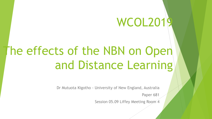# WCOL2019

# The effects of the NBN on Open and Distance Learning

Dr Mutuota Kigotho - University of New England, Australia

Paper 681

Session 05.09 Liffey Meeting Room 4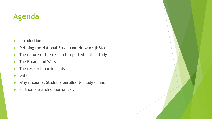## Agenda

- $\blacktriangleright$  Introduction
- **Defining the National Broadband Network (NBN)**
- $\blacktriangleright$  The nature of the research reported in this study
- ▶ The Broadband Wars
- $\blacktriangleright$  The research participants
- **Data**
- Why it counts: Students enrolled to study online
- $\blacktriangleright$  Further research opportunities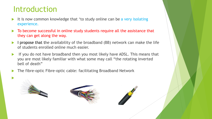### Introduction

- It is now common knowledge that 'to study online can be a very isolating experience.
- To become successful in online study students require all the assistance that they can get along the way.
- I propose that the availability of the broadband (BB) network can make the life of students enrolled online much easier.
- If you do not have broadband then you most likely have ADSL. This means that you are most likely familiar with what some may call "the rotating inverted bell of death"
- The fibre-optic Fibre-optic cable: facilitating Broadband Network



 $\blacktriangleright$ 



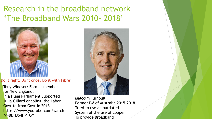## Research in the broadband network 'The Broadband Wars 2010- 2018'



#### 'Do it right, Do it once, Do it with Fibre'

- Tony Windsor: Former member for New England.
- In a Hung Parliament Supported Julia Gillard enabling the Labor Govt to from Govt in 2013. https://www.youtube.com/watch ?v=BBHJo4HPTGY



Malcolm Turnbull Former PM of Australia 2015-2018. Tried to use an outdated System of the use of copper To provide Broadband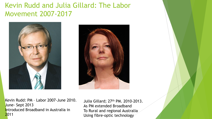### Kevin Rudd and Julia Gillard: The Labor Movement 2007-2017





Kevin Rudd: PM – Labor 2007-June 2010. June- Sept 2013 Introduced Broadband in Australia in 2011

Julia Gillard; 27th PM. 2010-2013. As PM extended Broadband To Rural and regional Australia Using fibre-optic technology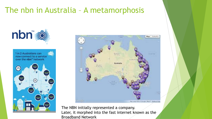### The nbn in Australia – A metamorphosis





#### The NBN initially represented a company. Later, it morphed into the fast internet known as the Broadband Network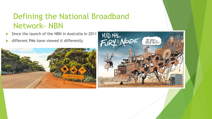# Defining the National Broadband Network- NBN

- Since the launch of the NBN in Australia in 2011
- different PMs have viewed it differently



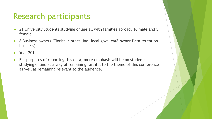### Research participants

- ▶ 21 University Students studying online all with families abroad. 16 male and 5 female
- ▶ 8 Business owners (Florist, clothes line, local govt, café owner Data retention business)
- Year 2014
- $\blacktriangleright$  For purposes of reporting this data, more emphasis will be on students studying online as a way of remaining faithful to the theme of this conference as well as remaining relevant to the audience.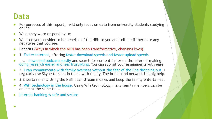### Data

 $\blacktriangleright$ 

- For purposes of this report, I will only focus on data from university students studying online
- $\blacktriangleright$  What they were responding to:
- What do you consider to be benefits of the NBN to you and tell me if there are any negatives that you see.
- ▶ Benefits (Ways in which the NBN has been transformative, changing lives)
- ▶ 1. Faster internet, offering faster download speeds and faster upload speeds
- I can download podcasts easily and search for content faster on the internet making doing research easier and less frustrating. You can submit your assignments with ease
- ▶ 2. I can communicate with family overseas without the fear of the line dropping out. I regularly use Skype to keep in touch with family. The broadband network is a big help.
- ▶ 3. Entertainment: Using the NBN I can stream movies and keep the family entertained.
- 4. Wifi technology in the house. Using Wifi technology, many family members can be online at the same time.
- Internet banking is safe and secure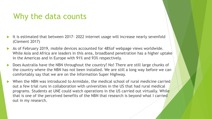### Why the data counts

- It is estimated that between 2017- 2022 internet usage will increase nearly sevenfold (Clement 2017)
- As of February 2019, mobile devices accounted for 48%of webpage views worldwide. While Asia and Africa are leaders in this area, broadband penetration has a higher uptake in the Americas and in Europe with 91% and 93% respectively.
- ▶ Does Australia have the NBN throughout the country? No! There are still large chunks of the country where the NBN has not been installed. We are still a long way before we can comfortably say that we are on the Information Super Highway.
- When the NBN was introduced to Armidale, the medical school of rural medicine carried out a few trial runs in collaboration with universities in the US that had rural medical programs. Students at UNE could watch operations in the US carried out virtually. While that is one of the perceived benefits of the NBN that research is beyond what I carried out in my research.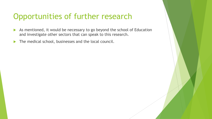## Opportunities of further research

- As mentioned, it would be necessary to go beyond the school of Education and investigate other sectors that can speak to this research.
- The medical school, businesses and the local council.